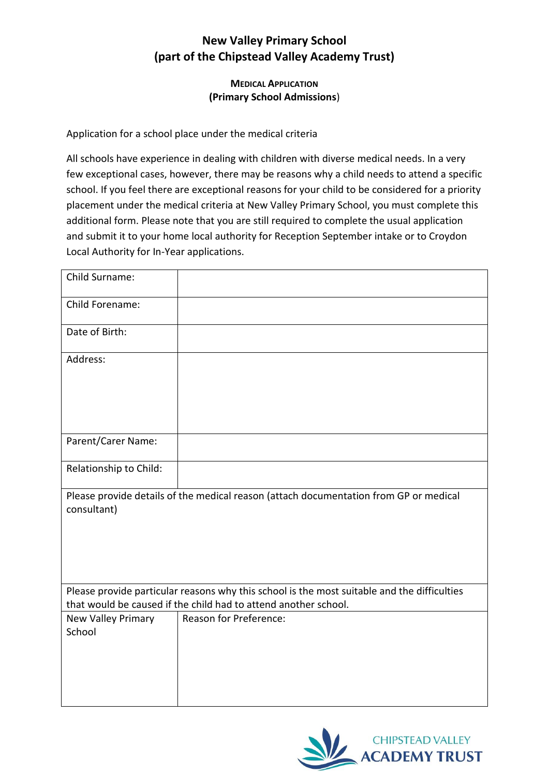## **New Valley Primary School (part of the Chipstead Valley Academy Trust)**

## **MEDICAL APPLICATION (Primary School Admissions**)

Application for a school place under the medical criteria

All schools have experience in dealing with children with diverse medical needs. In a very few exceptional cases, however, there may be reasons why a child needs to attend a specific school. If you feel there are exceptional reasons for your child to be considered for a priority placement under the medical criteria at New Valley Primary School, you must complete this additional form. Please note that you are still required to complete the usual application and submit it to your home local authority for Reception September intake or to Croydon Local Authority for In-Year applications.

| Child Surname:                                                                                                                                                 |                        |
|----------------------------------------------------------------------------------------------------------------------------------------------------------------|------------------------|
| Child Forename:                                                                                                                                                |                        |
| Date of Birth:                                                                                                                                                 |                        |
| Address:                                                                                                                                                       |                        |
| Parent/Carer Name:                                                                                                                                             |                        |
| Relationship to Child:                                                                                                                                         |                        |
| Please provide details of the medical reason (attach documentation from GP or medical<br>consultant)                                                           |                        |
| Please provide particular reasons why this school is the most suitable and the difficulties<br>that would be caused if the child had to attend another school. |                        |
| <b>New Valley Primary</b><br>School                                                                                                                            | Reason for Preference: |